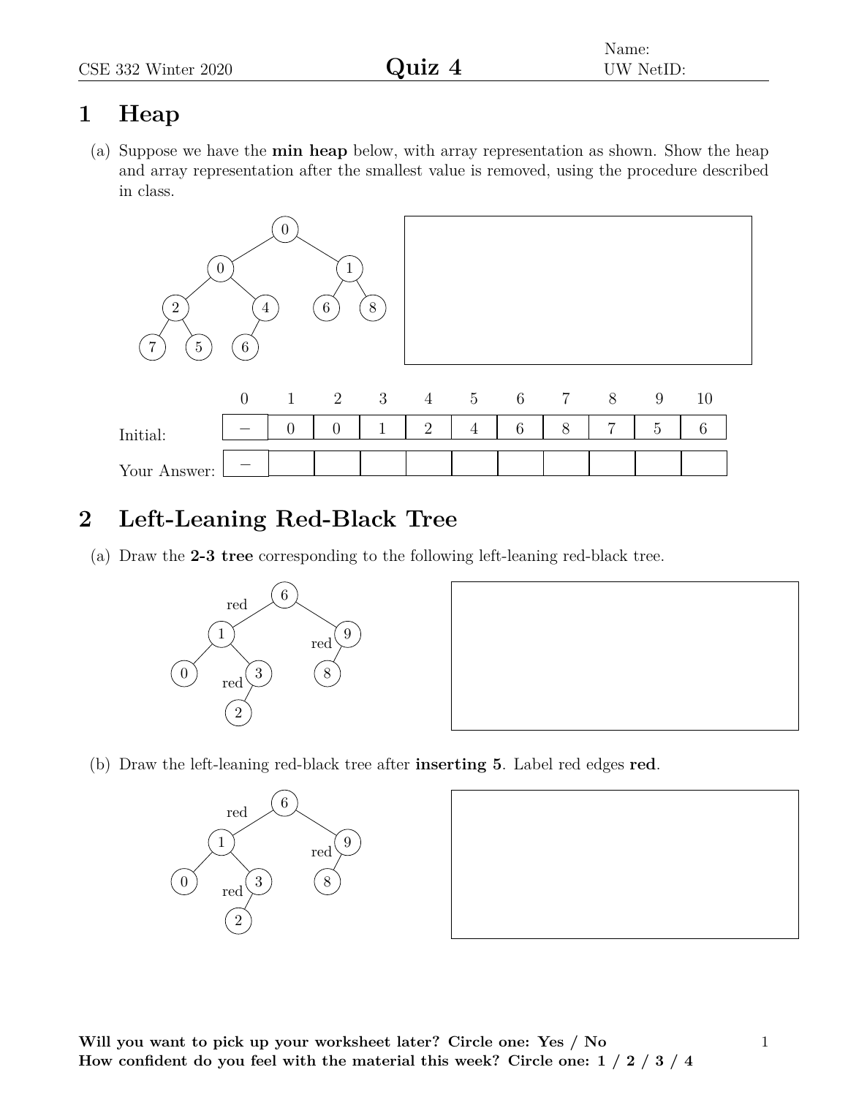# **1 Heap**

(a) Suppose we have the **min heap** below, with array representation as shown. Show the heap and array representation after the smallest value is removed, using the procedure described in class.



# **2 Left-Leaning Red-Black Tree**

(a) Draw the **2-3 tree** corresponding to the following left-leaning red-black tree.





(b) Draw the left-leaning red-black tree after **inserting 5**. Label red edges **red**.